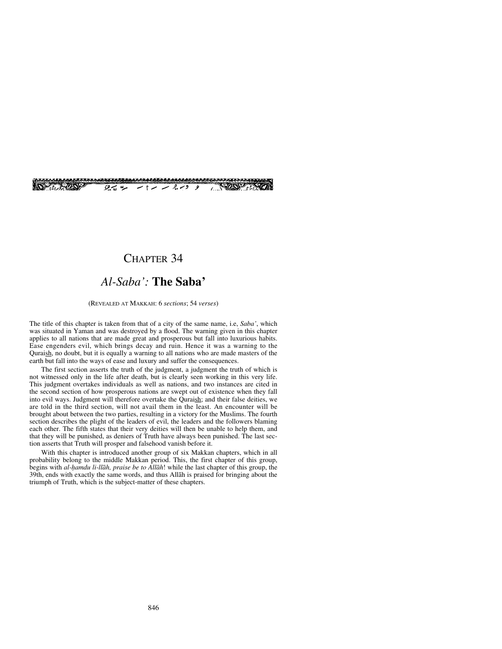

## CHAPTER 34

# *Al-Saba':* **The Saba'**

#### (REVEALED AT MAKKAH: 6 *sections*; 54 *verses*)

The title of this chapter is taken from that of a city of the same name, i.e, *Saba'*, which was situated in Yaman and was destroyed by a flood. The warning given in this chapter applies to all nations that are made great and prosperous but fall into luxurious habits. Ease engenders evil, which brings decay and ruin. Hence it was a warning to the Quraish, no doubt, but it is equally a warning to all nations who are made masters of the earth but fall into the ways of ease and luxury and suffer the consequences.

The first section asserts the truth of the judgment, a judgment the truth of which is not witnessed only in the life after death, but is clearly seen working in this very life. This judgment overtakes individuals as well as nations, and two instances are cited in the second section of how prosperous nations are swept out of existence when they fall into evil ways. Judgment will therefore overtake the Quraish; and their false deities, we are told in the third section, will not avail them in the least. An encounter will be brought about between the two parties, resulting in a victory for the Muslims. The fourth section describes the plight of the leaders of evil, the leaders and the followers blaming each other. The fifth states that their very deities will then be unable to help them, and that they will be punished, as deniers of Truth have always been punished. The last section asserts that Truth will prosper and falsehood vanish before it.

With this chapter is introduced another group of six Makkan chapters, which in all probability belong to the middle Makkan period. This, the first chapter of this group, begins with *al-hamdu li-llāh, praise be to Allāh*! while the last chapter of this group, the 39th, ends with exactly the same words, and thus Allåh is praised for bringing about the triumph of Truth, which is the subject-matter of these chapters.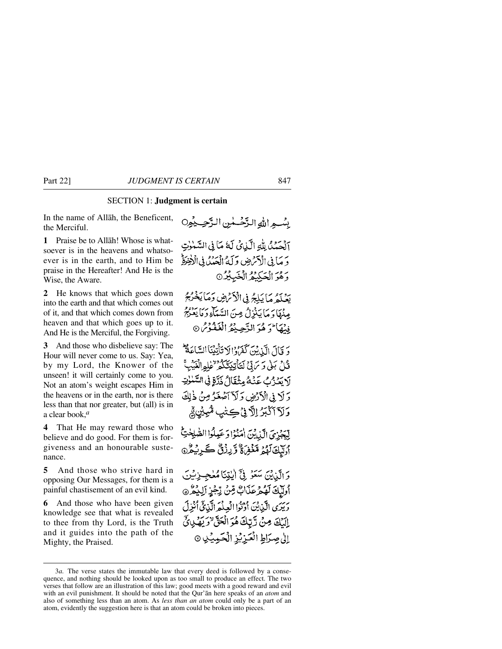#### SECTION 1: **Judgment is certain**

In the name of Allåh, the Beneficent, the Merciful.

**1** Praise be to Allåh! Whose is whatsoever is in the heavens and whatsoever is in the earth, and to Him be praise in the Hereafter! And He is the Wise, the Aware.

**2** He knows that which goes down into the earth and that which comes out of it, and that which comes down from heaven and that which goes up to it. And He is the Merciful, the Forgiving.

**3** And those who disbelieve say: The Hour will never come to us. Say: Yea, by my Lord, the Knower of the unseen! it will certainly come to you. Not an atom's weight escapes Him in the heavens or in the earth, nor is there less than that nor greater, but (all) is in a clear book,*<sup>a</sup>*

**4** That He may reward those who believe and do good. For them is forgiveness and an honourable sustenance.

**5** And those who strive hard in opposing Our Messages, for them is a painful chastisement of an evil kind.

**6** And those who have been given knowledge see that what is revealed to thee from thy Lord, is the Truth and it guides into the path of the Mighty, the Praised.

بِسْبِهِ اللَّهِ الزَّحْسَنِينِ الزَّحِسِيْمِِنِ آلْهَيْدُ لِللَّهِ الْكَانِيِّ لَهُ مَا فِي السَّيْنِاتِ دَ مَا فِي الْآمَرُضِ وَلَهُ الْعَدُبُ فِي الْأَخِيرَةُ وَهُوَ الْحَكِيْدُ الْخَبِيْدُ© ية لَمَدهُ مَا يَلِبُرُ فِي الْأَمْرِضِ وَمَا يَخْرُمُ مِنْهَا دَ مَا يَنْزِلُ مِنَ السَّمَاءِ دَ مَا يَعْنَ فِيْهَا لَوَ هُوَ الزَّحِيْثُهُ الْغَفْوْسُ ® دَ قَالَ الَّذِينَ كَفَرَّادُالا تَأْتِيْنَا السَّاعَةُ لِمَّ قُلْ بَلْى وَسَ تِيْ لَتَأْتِيَةَ كَمْ لِلْمِالْغَيْبِ لَا يَعْزُبُ عَنْهُ مِثْقَالُ ذَرَّةٍ فِي السَّنْوٰتِ وَلَا فِي الْأَرْضِ وَلَآ آَصَٰعَوُ مِنْ ذٰلِكَ وَلَآ آَكْبَرُ اِلَّا نِيْ كِتْنِي مُّبِيْنِ فِي إِيْجَزِيَ الَّذِينَ امْنُوْا دَعَيْلُوا الصّْلِحْتِ أَوَلَيْكَ لَهُمْ مَّغْفِيءٌ وَّرِزْقٌ كَبِرِيْهُنَّ وَ الَّذِيْنَ سَعَوْ فِيٍّ الْبَيْنَا مُلْجِبِزِئِينَ أُولَيْكَ لَهُمْ عَذَابٌ مِّنْ يِّجْزِ إِلِيْمُ ﴾ رَبَّدَى الَّذِيْنَ أَدْتُوا الْعِلْمَ الَّذِيَّ أُنْزِلَ إِلَيْكَ مِنْ رَّبِّكَ هُوَ الْحَقَّ لَا رَبِّهُ لِيَ لَيْ إلىٰ صِرَاطِ الْعَزِيْزِ الْحَمِيْدِ ۞

<sup>3</sup>*a.* The verse states the immutable law that every deed is followed by a consequence, and nothing should be looked upon as too small to produce an effect. The two verses that follow are an illustration of this law; good meets with a good reward and evil with an evil punishment. It should be noted that the Qur'ån here speaks of an *atom* and also of something less than an atom. As *less than an atom* could only be a part of an atom, evidently the suggestion here is that an atom could be broken into pieces.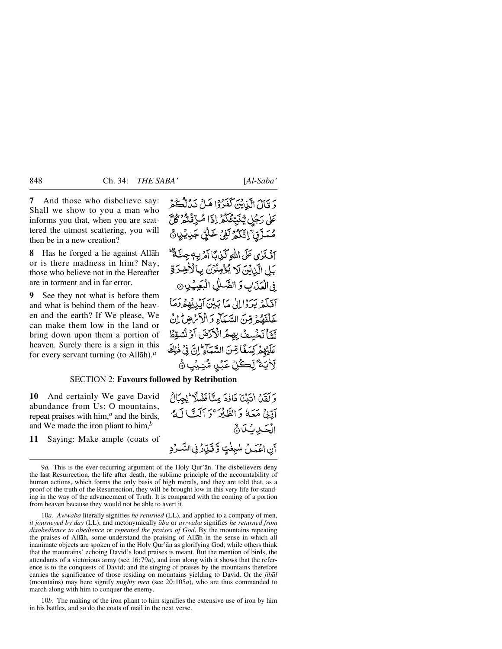**7** And those who disbelieve say: Shall we show to you a man who informs you that, when you are scattered the utmost scattering, you will then be in a new creation?

**8** Has he forged a lie against Allåh or is there madness in him? Nay, those who believe not in the Hereafter are in torment and in far error.

**9** See they not what is before them and what is behind them of the heaven and the earth? If We please, We can make them low in the land or bring down upon them a portion of heaven. Surely there is a sign in this for every servant turning (to Allåh).*<sup>a</sup>*

دَ قَالَ الَّذِيْنَ كَفَرُوْا هَلْ نَدُانٌ كُلُّكُمْ عَلَى رَجُلٍ يُّنَبِّئُكُمْ إِذَا مُّرِّقٌنُّهُۥ كُلَّ مُمَّذَّقٌ اِتَّكُمُّ لَفِيُّ خَلْقٌ جَدِيْدِيُّ أَفْيَذَى عَلَى اللَّهِ كَيْدِيًّا آمْرَيْبِهِ جِيتَةٌ ثَلْ بَلِ الَّذِيْنَ لَا يُؤْمِنُوْنَ بِالْأَخِرَةِ في الْعَذَابِ وَ الصَّلْلِ الْبَعِيْدِيِ @ آفَلَهْ يَدَدْالِلْي مَا بَيْنَ آيْدِيْهُمْ دَمَا خَلْفَقُهُمْ مِنَّنَ السَّبَيَاءِ وَ الْأَمْرَضِ ۚ إِنَّ يَّةٍ فَمَسْعَفٍ بِهِمُ الْأَدْضَ أَوْ نُسُقِظُ عَلَيْهِمْ كِسَفًا قِنَ السَّمَاءِ إِنَّ فِي ذٰلِكَ لَأَيَةً لِّكُلِّ عَبۡدٍ مُّنۡيَٰبٍ ۚ

### SECTION 2: **Favours followed by Retribution**

**10** And certainly We gave David abundance from Us: O mountains, repeat praises with him,*<sup>a</sup>* and the birds, and We made the iron pliant to him,*<sup>b</sup>*

**11** Saying: Make ample (coats of

وَلَقَلْ الْتَيْنَاكَاذُكَ مِنَّافَضُلَّا يُجِبَالُ أَدَّنْ مَعَهُ وَالطَّيْرَ ۚ وَ أَلَّتَ أَلَّهُ الْحَدِيثِكَانَ آن اعْمَىلْ سْبِغْتِ وَقَيْلَارُ فِي السَّرْدِ

10*a. Awwaba* literally signifies *he returned* (LL), and applied to a company of men, *it journeyed by day* (LL), and metonymically *åba* or *awwaba* signifies *he returned from disobedience to obedience* or *repeated the praises of God*. By the mountains repeating the praises of Allåh, some understand the praising of Allåh in the sense in which all inanimate objects are spoken of in the Holy Qur'ån as glorifying God, while others think that the mountains' echoing David's loud praises is meant. But the mention of birds, the attendants of a victorious army (see 16:79*a*), and iron along with it shows that the reference is to the conquests of David; and the singing of praises by the mountains therefore carries the significance of those residing on mountains yielding to David. Or the *jibål* (mountains) may here signify *mighty men* (see 20:105*a*), who are thus commanded to march along with him to conquer the enemy.

10*b.* The making of the iron pliant to him signifies the extensive use of iron by him in his battles, and so do the coats of mail in the next verse.

<sup>9</sup>*a.* This is the ever-recurring argument of the Holy Qur'ån. The disbelievers deny the last Resurrection, the life after death, the sublime principle of the accountability of human actions, which forms the only basis of high morals, and they are told that, as a proof of the truth of the Resurrection, they will be brought low in this very life for standing in the way of the advancement of Truth. It is compared with the coming of a portion from heaven because they would not be able to avert it.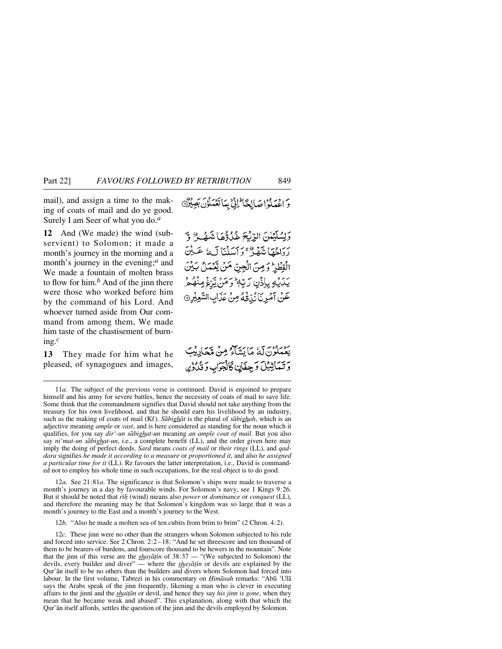mail), and assign a time to the making of coats of mail and do ye good. Surely I am Seer of what you do.*<sup>a</sup>*

**12** And (We made) the wind (subservient) to Solomon; it made a month's journey in the morning and a month's journey in the evening;*<sup>a</sup>* and We made a fountain of molten brass to flow for him.*<sup>b</sup>* And of the jinn there were those who worked before him by the command of his Lord. And whoever turned aside from Our command from among them, We made him taste of the chastisement of burning.*<sup>c</sup>*

**13** They made for him what he pleased, of synagogues and images, وَ اعْمَلُوْ اصَالِحَا لِّلِّ بِمَا تَعْمَلُوْنَ بَصِيْرٌ

وَلِسُلَيْمَٰنَ الرِّيْحَ غُلُوُّهَا شَهْلٌ وَّ رَدَاهِمَا يَنْهَدُ ۚ وَ أَيْسَلْنَا لَ4ً عَيْنَ الْقِطْرِ وَمِنَ الْجِنِّ مَنْ يِّعْمَلُ بَيْنَ يَدَيْهِ بِإِذْنِ رَبِّهٖ وَمَنْ يَنِغْ مِنْهُ دُ عَنْ آمُرِيَاَنَيْنَهُمُ مِنْ عَذَابِ السَّعِيْرِ @

يَعْمَلُونَ لَمْ مَا يَشَاءُ مِنْ مَجَادِيْتَ وتماثيل وجفان كالجواب وثلاثها

12*a.* See 21:81*a*. The significance is that Solomon's ships were made to traverse a month's journey in a day by favourable winds. For Solomon's navy, see 1 Kings 9:26. But it should be noted that *r߃* (wind) means also *power* or *dominance* or *conquest* (LL), and therefore the meaning may be that Solomon's kingdom was so large that it was a month's journey to the East and a month's journey to the West.

12*b.* "Also he made a molten sea of ten cubits from brim to brim" (2 Chron. 4:2).

12*c.* These jinn were no other than the strangers whom Solomon subjected to his rule and forced into service. See 2 Chron. 2:2 –18: "And he set threescore and ten thousand of them to be bearers of burdens, and fourscore thousand to be hewers in the mountain". Note that the jinn of this verse are the *shayāṭīn* of 38:37 — "(We subjected to Solomon) the devils, every builder and diver" — where the *shayātin* or devils are explained by the Qur'ån itself to be no others than the builders and divers whom Solomon had forced into labour. In the first volume, Tabrezß in his commentary on *Ïimåsah* remarks: "Ab∂ 'Ulå says the Arabs speak of the jinn frequently, likening a man who is clever in executing affairs to the jinni and the *shaitan* or devil, and hence they say *his jinn is gone*, when they mean that he became weak and abased". This explanation, along with that which the Qur'ån itself affords, settles the question of the jinn and the devils employed by Solomon.

<sup>11</sup>*a.* The subject of the previous verse is continued. David is enjoined to prepare himself and his army for severe battles, hence the necessity of coats of mail to save life. Some think that the commandment signifies that David should not take anything from the treasury for his own livelihood, and that he should earn his livelihood by an industry, such as the making of coats of mail (Kf). *Såbighåt* is the plural of *såbighah*, which is an adjective meaning *ample* or *vast*, and is here considered as standing for the noun which it qualifies, for you say *dir'-un såbighat-un* meaning *an ample coat of mail*. But you also say *ni'mat-un såbighat-un*, i.e., a complete benefit (LL), and the order given here may imply the doing of perfect deeds. *Sard* means *coats of mail* or *their rings* (LL), and *qaddara* signifies *he made it according to a measure* or *proportioned it*, and also *he assigned a particular time for it* (LL). Rz favours the latter interpretation, i.e., David is commanded not to employ his whole time in such occupations, for the real object is to do good.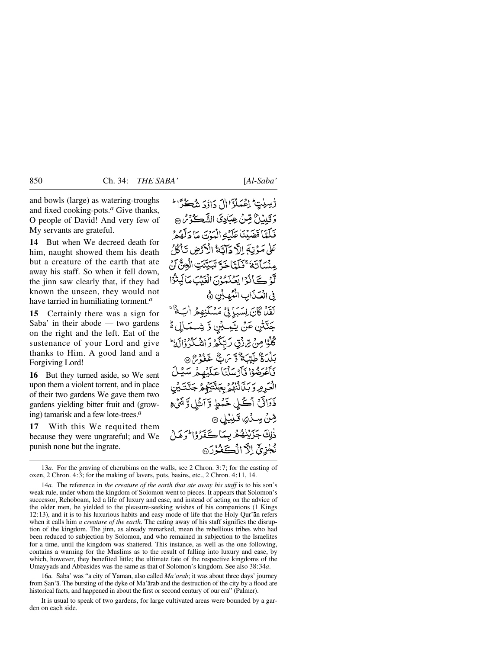and bowls (large) as watering-troughs and fixed cooking-pots.*<sup>a</sup>* Give thanks, O people of David! And very few of My servants are grateful.

**14** But when We decreed death for him, naught showed them his death but a creature of the earth that ate away his staff. So when it fell down, the jinn saw clearly that, if they had known the unseen, they would not have tarried in humiliating torment.*<sup>a</sup>*

**15** Certainly there was a sign for Saba' in their abode — two gardens on the right and the left. Eat of the sustenance of your Lord and give thanks to Him. A good land and a Forgiving Lord!

**16** But they turned aside, so We sent upon them a violent torrent, and in place of their two gardens We gave them two gardens yielding bitter fruit and (growing) tamarisk and a few lote-trees.*<sup>a</sup>*

**17** With this We requited them because they were ungrateful; and We punish none but the ingrate.

رّْسِيْتٍ لِمُمَلَّوَّا إِلَ دَائِدَ شُكِّرًا \* وَتَلِيۡلُ مِّنۡ عِبَادِىَ الشَّكَرُمُ ۞ فَلَتَاقِفَهِ نَاءَآهُا الْبَيْنَ مَا دَلَّهُمْ عَلَىٰ مَدْيَةَ إِلَّٰ دَآتَةُ الْأَدْضِ تَأْكُلُ مِنْسَآتَهُ ۚ وَبَآتَاجَةَ تَبَيَّتَتِ الْجِنَّ أَرْ لَّوْ كَانُوْا يَعْلَمُونَ الْغَيْبَ مَالِّبِنُوْا فى الْعَيْنَابِ الْمُبْهِيِّينِ ﴾ لَقَلْ كَانَ لِسَبَإِ فِي مَسْكَنِهِمُ الْيَةُ ۚ جَنَّتْنِ عَنْ يَيْمِيْنِ وَ شِـْمَـٰلِي ةُ كْلُوْا مِنْ تِرَازْقٍ رَبِّكُمْ وَ الشَّكْرُوْالَهُ ۖ بَلْدَةٌ طَبِّيَةٌ وَّسَ تَّا غَفُونَ ۞ فَأَعْرَضُوْا فَأَرْسَلْنَا عَلَيْهِمْ سَيُلَ الْعَيْرِمِرِ دَ بَدَّانِيْهُمْ بِجَنَّتَيْبِكُمْ جَنَّتَ لِيْن ذَرَاتَنُ اُكُلِ خَمْطٍ وَٓاَشۡلِ وَّشَىٰٓءَ قِنْ سِنْ ٍكَلِيْلِ ۞ ذٰلِكَ جَزَيْنِهُ هُرِ بِيمَا كَغَدْ وْإِلَيْهِ هَيْ نُجْزِيِّ الْأَالْكَفُوُرَ

16*a.* Saba' was "a city of Yaman, also called *Ma'årab*; it was about three days' journey from Şan'ā. The bursting of the dyke of Ma'ārab and the destruction of the city by a flood are historical facts, and happened in about the first or second century of our era" (Palmer).

It is usual to speak of two gardens, for large cultivated areas were bounded by a garden on each side.

<sup>13</sup>*a.* For the graving of cherubims on the walls, see 2 Chron. 3:7; for the casting of oxen, 2 Chron. 4:3; for the making of lavers, pots, basins, etc., 2 Chron. 4:11, 14.

<sup>14</sup>*a.* The reference in *the creature of the earth that ate away his staff* is to his son's weak rule, under whom the kingdom of Solomon went to pieces. It appears that Solomon's successor, Rehoboam, led a life of luxury and ease, and instead of acting on the advice of the older men, he yielded to the pleasure-seeking wishes of his companions (1 Kings 12:13), and it is to his luxurious habits and easy mode of life that the Holy Qur'ån refers when it calls him *a creature of the earth*. The eating away of his staff signifies the disruption of the kingdom. The jinn, as already remarked, mean the rebellious tribes who had been reduced to subjection by Solomon, and who remained in subjection to the Israelites for a time, until the kingdom was shattered. This instance, as well as the one following, contains a warning for the Muslims as to the result of falling into luxury and ease, by which, however, they benefited little; the ultimate fate of the respective kingdoms of the Umayyads and Abbasides was the same as that of Solomon's kingdom. See also 38:34*a*.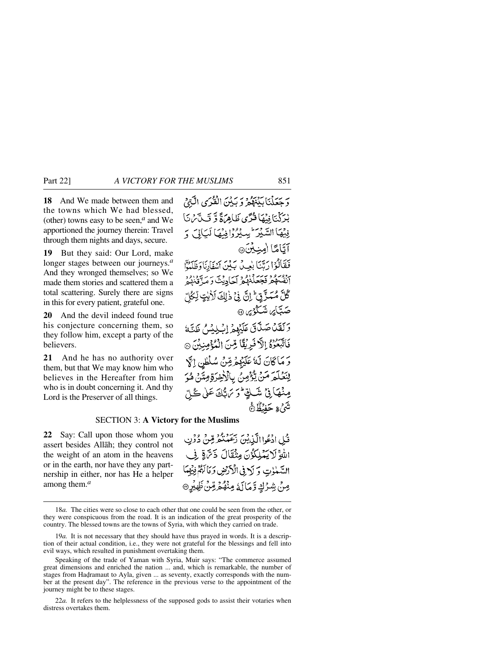**18** And We made between them and the towns which We had blessed, (other) towns easy to be seen,*<sup>a</sup>* and We

apportioned the journey therein: Travel through them nights and days, secure.

**19** But they said: Our Lord, make longer stages between our journeys.*<sup>a</sup>* And they wronged themselves; so We made them stories and scattered them a total scattering. Surely there are signs in this for every patient, grateful one.

**20** And the devil indeed found true his conjecture concerning them, so they follow him, except a party of the believers.

**21** And he has no authority over them, but that We may know him who believes in the Hereafter from him who is in doubt concerning it. And thy Lord is the Preserver of all things.

وَجَعَلْنَابَيْنَهُمْ وَبَيْنَ الْقُرَى الَّتِيْ بْدَكْتَا فِيْهَا قُدَّى ظَاهِرَةً وَّ قَبِيَّ مِنَّ فِيْهَا السَّيْرَ يِسِيْرُوْافِيْهَا لَيَالَى وَ آتَامًا امِنِينَ@ فَقَالَوْا رَبَّنَا بِعِيلٌ بَيْنَ آَشْفَارِنَا وَظَلَمْوَّا انفُسْهُمْ فَجَعَلْنَهُمْ كَيَادِيْتَ وَمَدِّقَنَهُمْ َگُلَّ مُـَــزَّ قِّ† اِنَّى فِيُّ ذٰلِكَ لَأَبْتٍ لِّـكُلِّ صَبَّا*َيْه*َ شَكْوَيْرَ ۞ وَلَقَدْ صَلَّى عَلَيْهِمُ إِبْلِيْسُ ظَنَّةُ فَأَتَّبَعُوْهُ إِلَّا فَبِرِيْقًا مِّنَ الْمُؤْمِنِينَ ۞ رَ مَاكَانَ لَهُ عَلَيْهِمْ مِّنْ سُلْطِنِ إِكَّ لِنَعۡلَمَ مَنۡ يُّؤۡمِنُ بِٱلۡ(ٰخِرَةِ مِتَّنۡ هُوَ مِنۡهَمَآ فِيۡ شَکُفٍّ ؕوَ تَرَسُّكَ عَلَىٰ گَے نَّةً وَ حَفْظٌ

## SECTION 3: **A Victory for the Muslims**

**22** Say: Call upon those whom you assert besides Allåh; they control not the weight of an atom in the heavens or in the earth, nor have they any partnership in either, nor has He a helper among them.*<sup>a</sup>*

قُبِلِ ادْعُوا الَّذِينَ بَحَمْنُكُمْ مِّنْ دُوۡنِ اللَّهِ لَا يَمْلِكُوْنَ مِنْقَالَ ذَتَّ قِي فِي السَّمْلُوتِ وَ لَهِ فِي الْأَرْضِ وَمَا لَهُمْ فِيهِمَا مِنْ شِرْكٍ وَمَالَهُ مِنْهُمْ مِّنْ ظِيْرِ @

<sup>18</sup>*a.* The cities were so close to each other that one could be seen from the other, or they were conspicuous from the road. It is an indication of the great prosperity of the country. The blessed towns are the towns of Syria, with which they carried on trade.

<sup>19</sup>*a.* It is not necessary that they should have thus prayed in words. It is a description of their actual condition, i.e., they were not grateful for the blessings and fell into evil ways, which resulted in punishment overtaking them.

Speaking of the trade of Yaman with Syria, Muir says: "The commerce assumed great dimensions and enriched the nation ... and, which is remarkable, the number of stages from Hadramaut to Ayla, given ... as seventy, exactly corresponds with the number at the present day". The reference in the previous verse to the appointment of the journey might be to these stages.

<sup>22</sup>*a.* It refers to the helplessness of the supposed gods to assist their votaries when distress overtakes them.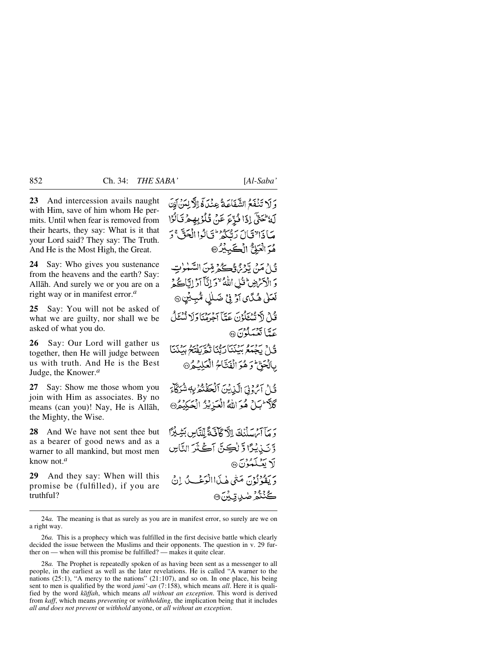**23** And intercession avails naught with Him, save of him whom He permits. Until when fear is removed from their hearts, they say: What is it that your Lord said? They say: The Truth. And He is the Most High, the Great.

**24** Say: Who gives you sustenance from the heavens and the earth? Say: Allåh. And surely we or you are on a right way or in manifest error.*<sup>a</sup>*

**25** Say: You will not be asked of what we are guilty, nor shall we be asked of what you do.

**26** Say: Our Lord will gather us together, then He will judge between us with truth. And He is the Best Judge, the Knower.*<sup>a</sup>*

**27** Say: Show me those whom you join with Him as associates. By no means (can you)! Nay, He is Allåh, the Mighty, the Wise.

**28** And We have not sent thee but as a bearer of good news and as a warner to all mankind, but most men know not.*<sup>a</sup>*

**29** And they say: When will this promise be (fulfilled), if you are truthful?

وَ لَا تَنْفَعُ الشَّفَاعَةُ عِنْدَ، فَالْإِلِينَ إِنَّ لَهُ تَحَتَّى إِذَا ذُبِّءَ عَنْ قُلُوْبِهِ هِرْ تَأْلُوْا مَاذَالتَالَ رَبُّكُمْ لَى الدَّا الْحَقَّ رَ هُوَ الْعَلِيُّ الْكَبِيْرُ @

قَيْ\ مَنْ تَدْمَنْ وَسِيحَ قِينَ السَّبْنِوٰتِ دَ الْأَسْرَضِ ثَيْلِ اللَّهُ "دَ إِنَّآ آدْ إِيَّاتُ هُمْ لَعَلَىٰ هُـٰدًىٰ لَوۡ فِيۡ ضَـٰلٰٓلِ مُّبِـٰیۡنِ ۞ قُدْحْ لَاَ تُسْتَكْوُنَ عَتِيّاً آجَرْمِنَا وَلَا نُسْتَلْ

عَدَّمَا تَعْمَلُونَ۞

قُلْ يَجْمَعُ بِينَنَارَتْنَا تَكُوَّيَفْتُحْ بِيَنْنَا بِالْجَقِّ وَهُوَ الْفَتَّاحُ الْعَلِيْدُ®

قُلْ آيُّ وَفِيَ الَّذِينَ ٱلۡحَقَّنَّعُرَٰبِهٖ شُرَكَآءَ كَلاَّ سِّلِّ هُوَ اللَّهُ الْعَيْرِيْزُ الْعَكِيْمُ®

وَ مَآتِنِ سَلَّنَكَ الْآكَافَيَّةَ لِّلنَّاسِ بَشِيْرًا وَّتَنِيْدُا وَّلْكِنَّ آَكَنْرَ النَّاسِ لَا بَعْبِكَمُوْنَ® دَ يَقْوُلُوْنَ مَنْيُ هٰذَاالْوَعْبُ لَيْ إِنِّي ڴڹٛػۮ<sup>ۯ</sup>ۻۑ<sub>ٳ</sub>ؾؖڋۣ<sub>ؘؽ</sub>ۜ۞

24*a.* The meaning is that as surely as you are in manifest error, so surely are we on a right way.

<sup>26</sup>*a.* This is a prophecy which was fulfilled in the first decisive battle which clearly decided the issue between the Muslims and their opponents. The question in v. 29 further on — when will this promise be fulfilled? — makes it quite clear.

<sup>28</sup>*a.* The Prophet is repeatedly spoken of as having been sent as a messenger to all people, in the earliest as well as the later revelations. He is called "A warner to the nations (25:1), "A mercy to the nations" (21:107), and so on. In one place, his being sent to men is qualified by the word *jamß'-an* (7:158), which means *all*. Here it is qualified by the word *kåffah*, which means *all without an exception*. This word is derived from *kaff*, which means *preventing* or *withholding*, the implication being that it includes *all and does not prevent* or *withhold* anyone, or *all without an exception*.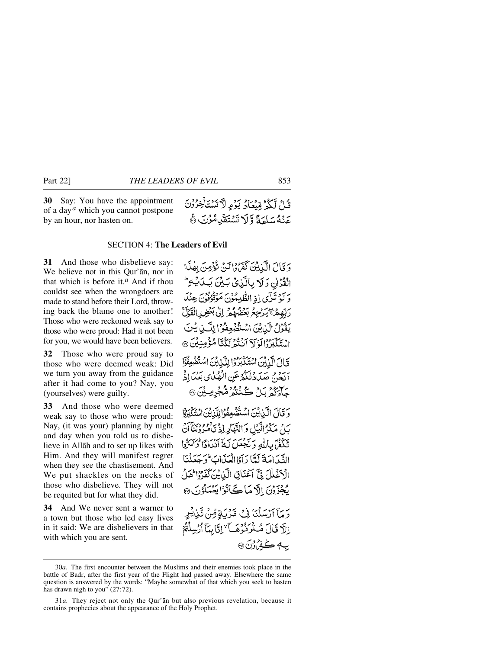#### SECTION 4: **The Leaders of Evil**

**31** And those who disbelieve say: We believe not in this Qur'ån, nor in that which is before it.*<sup>a</sup>* And if thou couldst see when the wrongdoers are made to stand before their Lord, throwing back the blame one to another! Those who were reckoned weak say to those who were proud: Had it not been for you, we would have been believers.

**32** Those who were proud say to those who were deemed weak: Did we turn you away from the guidance after it had come to you? Nay, you (yourselves) were guilty.

**33** And those who were deemed weak say to those who were proud: Nay, (it was your) planning by night and day when you told us to disbelieve in Allåh and to set up likes with Him. And they will manifest regret when they see the chastisement. And We put shackles on the necks of those who disbelieve. They will not be requited but for what they did.

**34** And We never sent a warner to a town but those who led easy lives in it said: We are disbelievers in that with which you are sent.

وَ قَالَ الْكَيْكِينَ كَفَرُوْالِينَ تَوْْصِنَ بِهٰذَا القُرْانِ وَلَا بِالَّذِىْ بَيْنَ يَكَ يُكَ وَكَوْتَرَى إِذِ الظُّلِمُوْنَ مَوْقُوْفُوْنَ عِنْكَ رَبِّهِمْ مَجْيَرْجِعُ بَعْضُهُمْ إِلَىٰ بَعْضِ الْقَرْلَ يَقْوَلُ الَّذِيْنَ اسْتُفْهَعِفُوۡ ۚ لِلَّـٰذِ يُـ اسْتَكْبَرُ ٱلَّذِيْنَ ٱنْتُوْيَكُنَّا مُؤْمِنِيْنَ ۞ قَالَ الَّذِينَ اسْتَكَبَرُوْا لِلَّذِينَ اسْتَضْعِفُوْا آنَ مِنْ صَدَدْنُكُمْ عَنِ الْهُلُايِ بَعْدَ إِذْ چآئ<sup>د</sup>دُ کار ڪُنُنڍُ ڦڳوهِينَ @

قُلْ لَكُمْ مِّيْعَادُ يَوْمِ لَّا تَسْتَأْخِرُوْنَ عَنْهُ سَاءَةً وَلَا تَسْتَقَيْهِ مُؤْنَ ﴾

وَ قَالَ الَّذِينَ اسْتُفْهَعِفُوْا لِلَّذِينَ اسْتَكْبَرُوْا بَيْنَ مَكْرُ الَّبِيْلِ وَ النَّهْلَارِ إِذْ يَأْمُرُوْنِيَٰٓآَاَنَّ تَكَفَّنَ بِاللَّهِ وَنَجْعَلَ لَهُ أَنَدَادًا وَٱسَرُّوا التَّبَيْ اصَةَ لَتَّا رَآَوُا الْعَيْدَاتِ فَوَجَعَلْنَا الْاَغْلَلَ فِئَ آَعْنَانِ الَّذِينَ كَفَرُوْا هَلْ بُجْزَدُنَ إِلَّا مَا ڪَأَنُوْا يَعۡمَلُوۡنَ ۞

دَ مَآ ٱرۡسَلۡنَا فِيۡ قَدۡ يَٰٓةٍ مِّنۡ تَّيۡنِيۡدِ إِلَّا قَالَ مُنْزَنُّزُهَــآ لاإِتَابِيَآ أَرْسِلْتُمْ ب4 ڪفرون @

<sup>30</sup>*a.* The first encounter between the Muslims and their enemies took place in the battle of Badr, after the first year of the Flight had passed away. Elsewhere the same question is answered by the words: "Maybe somewhat of that which you seek to hasten has drawn nigh to you" (27:72).

<sup>31</sup>*a.* They reject not only the Qur'ån but also previous revelation, because it contains prophecies about the appearance of the Holy Prophet.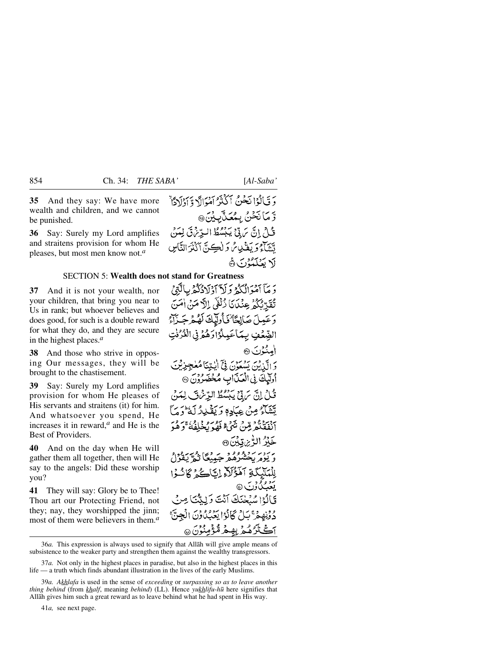**35** And they say: We have more wealth and children, and we cannot be punished.

**36** Say: Surely my Lord amplifies and straitens provision for whom He pleases, but most men know not.*<sup>a</sup>*

#### SECTION 5: **Wealth does not stand for Greatness**

**37** And it is not your wealth, nor your children, that bring you near to Us in rank; but whoever believes and does good, for such is a double reward for what they do, and they are secure in the highest places.*<sup>a</sup>*

**38** And those who strive in opposing Our messages, they will be brought to the chastisement.

**39** Say: Surely my Lord amplifies provision for whom He pleases of His servants and straitens (it) for him. And whatsoever you spend, He increases it in reward,*<sup>a</sup>* and He is the Best of Providers.

**40** And on the day when He will gather them all together, then will He say to the angels: Did these worship you?

**41** They will say: Glory be to Thee! Thou art our Protecting Friend, not they; nay, they worshipped the jinn; most of them were believers in them <sup>*a*</sup>

وَقَالُوۡا نَحۡنُ ٱكۡنُزُ آمۡوَالَا وَّآوَٰلَاَوّٗاْ وَّ مَا نَحْنُ بِمُعَدَّبِيْنَ۞ قُلْ إِنَّ يَ يَدْنَى بَبْسُطُ البِّدِينَ لِمَنْ تَتَنَاءُ وَيَغْذُبِهِ ثُمَّ وَلَكِينَّ آَكَنْزَ النَّاسِ لَا يَعْلَمُوْنَ ﴾

دَ مَآ آمۡوَالۡکُمۡ وَ لَآ ٓاَوۡلَادُکُمۡ بِالۡبَنۡ ۚ تَقَدَّنَّكُمْ عِنْكَانَا ذُلْفَىٰ إِلَّا مَنْ أَمَنَ وَعَمِلَ صَالِحًا ۖ فَأُولَيْكَ لَهُمْ جَبَٰزَاءُ الصِّعْفِ بِمَاعَيِلُوْاوَهُمْ فِي الْعُرُفْتِ امنْدُنَ ۞ وَ الَّذِيْنَ يَسْعَوْنَ فِيَّ أَيْتِنَا مُعْجِزِيْنَ أُولَيْكَ فِي الْعَذَابِ مُخْضَرُوْنَ @ قُبُلْ إِنَّ سَ تِيْ يَجِسُّطُ الدِّسْ فَ لِيَبَنُّ تَتَنَبَآءُ مِنْ عِبَادِهِ وَ يَقْبِدِدُ أَمَرُو بِهَمْ أَنْفَقَنَّهُمْ قِبْنَ نَهْجٌ فَقُدْ يُخْلَفُهُ ۚ وَهُ خَلَرُ الِّهِ بِرَ<sub>ا</sub>قِيْنَ ۞ دورو به دي په نور اِلْمَلَيْكَةِ آَهَؤُلَاَّ إِيَّاكُمْ ﴾ دَا يُدْخِينَكَ أَنْتَ وَ لِيَّنَّبَأَ مِنْ لِي دُوْنِهِجْ بَلْ كَانُوْا يَعْبُدُونَ الْجِنَّ ڹٛۯۿڮۯۑۣۿۿۯۿ<sup>ٷ</sup>ۣڡڹ۠ۯڹۜ۞

36*a.* This expression is always used to signify that Allåh will give ample means of subsistence to the weaker party and strengthen them against the wealthy transgressors.

37*a.* Not only in the highest places in paradise, but also in the highest places in this life — a truth which finds abundant illustration in the lives of the early Muslims.

41*a,* see next page.

<sup>39</sup>*a. Akhlafa* is used in the sense of *exceeding* or *surpassing so as to leave another thing behind* (from *khalf*, meaning *behind*) (LL). Hence *yukhlifu-h∂* here signifies that Allåh gives him such a great reward as to leave behind what he had spent in His way.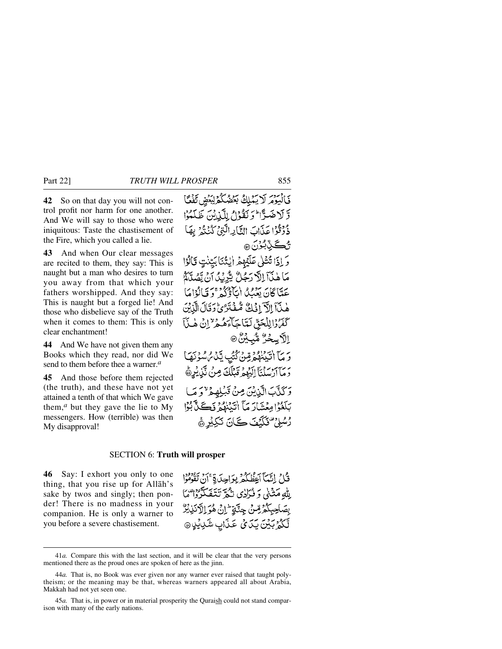**42** So on that day you will not control profit nor harm for one another. And We will say to those who were iniquitous: Taste the chastisement of the Fire, which you called a lie.

**43** And when Our clear messages are recited to them, they say: This is naught but a man who desires to turn you away from that which your fathers worshipped. And they say: This is naught but a forged lie! And those who disbelieve say of the Truth when it comes to them: This is only clear enchantment!

**44** And We have not given them any Books which they read, nor did We send to them before thee a warner.*<sup>a</sup>*

**45** And those before them rejected (the truth), and these have not yet attained a tenth of that which We gave them, $a$  but they gave the lie to My messengers. How (terrible) was then My disapproval!

فَالْبَوْمَرِ لَا يَمْلِكُ بَعْضُكُمْ لِبَعْضِ تَفْكَ وَّ لَا ضَدَّا ۚ وَ نَقُوۡلُ لِلَّيۡاٰنِينَ طَلَّعُہُۥٓا ذُوْقُوْا عَذَابَ النَّادِ الَّتِيْ كُنُنُوْ بِهَا مِڪِٽِبُو*ُنَ* وَ إِذَا تُتْلَىٰ عَلَيْهِمُ إِيِّنَّنَا بَيِّنْتٍ قَالُوْا مَا هٰذَآ اِلَّا رَجُلُّ يُّرِيْدُ انْ يَّصُدَّهُمُ عَدّاً كَانَ يَعْبُدُ الْتَأْذُرُهُ مِنَ تَأْلُوْاهَا هٰنَآ الْآ افْكُ مُّفْتَرَىٰ دَقَالَ الَّذِيْنَ كَفَرُدُالِلْحَقِّ لَعَّاجَاًءَهُمْ لِنَّ إِنْ هٰذَا ٳڵڒڛڂۯ<sub>ؙ</sub> ۺ۠ۜ<sub>ڹ</sub>ڸؙ*ڹ۠*۠۞ وَ مَآ اٰتَيْنَهُمۡوَّقِنۡ كُتُبِ يَّذُلُ مُسۡوَنَهَا دَمَآآرُسَلْنَآَ إِلَيْهِمْ قَبْلُكَ مِنْ نَّنِ يُرِهُ رَكَنَّبَ الَّذِيْنَ مِنْ قَبْلِهِمْ "وَمَا بَلَغُوْامِعۡشَارَ مَآ اٰتَيۡنَٰهُمۡ نَڪَنَّ بُوُّا رْسُلِيٌ فَكَيْفَ كَانَ نَكِيْرِ ﴾

#### SECTION 6: **Truth will prosper**

**46** Say: I exhort you only to one thing, that you rise up for Allåh's sake by twos and singly; then ponder! There is no madness in your companion. He is only a warner to you before a severe chastisement.

قُلْ إِنَّيْمَآ أَعِظُكُمْ بِوَاحِدَةٍ ۚ أَنْ تَقْوُمُوْا بِلَّهِ مَثْنَىٰ وَ فُرَكْنِي نَكْبَرٌ نَتَفَكَّرْدُا مِّنَا بِصَاحِبِكُمُ مِّنْ جِنَّةٍ إِنْ هُوَ اِلْآنَذِيْنُ لَّكُمُّ بَيْنَ يَدَىٰ عَذَابِ شَرْبِيْدِ @

<sup>41</sup>*a.* Compare this with the last section, and it will be clear that the very persons mentioned there as the proud ones are spoken of here as the jinn.

<sup>44</sup>*a.* That is, no Book was ever given nor any warner ever raised that taught polytheism; or the meaning may be that, whereas warners appeared all about Arabia, Makkah had not yet seen one.

<sup>45</sup>*a.* That is, in power or in material prosperity the Quraish could not stand comparison with many of the early nations.